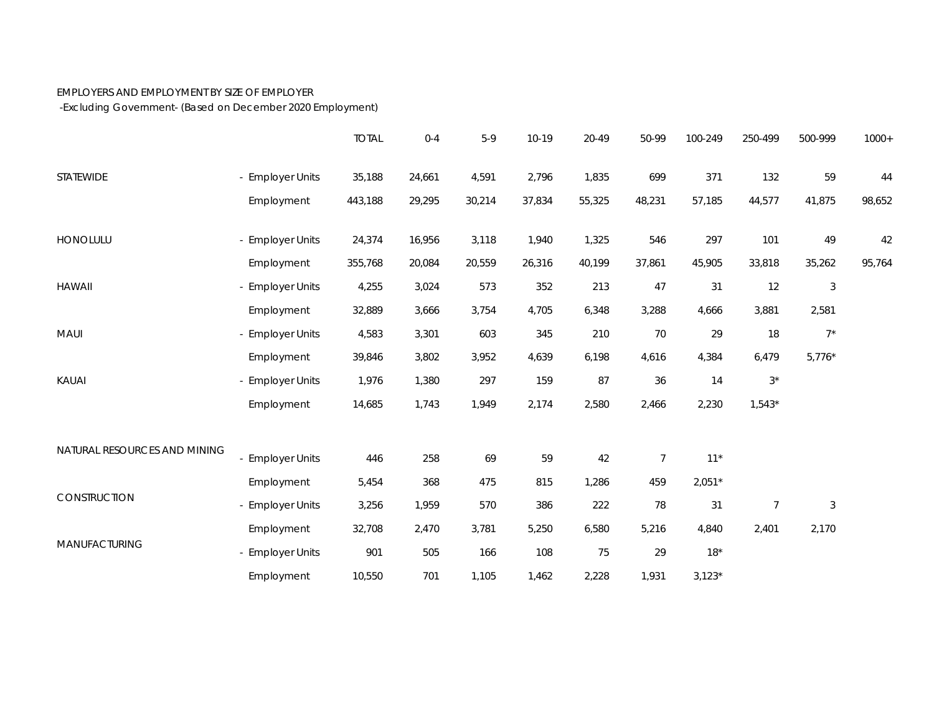## EMPLOYERS AND EMPLOYMENT BY SIZE OF EMPLOYER

-Excluding Government- (Based on December 2020 Employment)

|                              |                  | <b>TOTAL</b> | $0 - 4$ | $5-9$  | 10-19  | 20-49  | 50-99  | 100-249  | 250-499        | 500-999    | $1000+$ |
|------------------------------|------------------|--------------|---------|--------|--------|--------|--------|----------|----------------|------------|---------|
| <b>STATEWIDE</b>             | - Employer Units | 35,188       | 24,661  | 4,591  | 2,796  | 1,835  | 699    | 371      | 132            | 59         | 44      |
|                              | Employment       | 443,188      | 29,295  | 30,214 | 37,834 | 55,325 | 48,231 | 57,185   | 44,577         | 41,875     | 98,652  |
| HONOLULU                     | - Employer Units | 24,374       | 16,956  | 3,118  | 1,940  | 1,325  | 546    | 297      | 101            | 49         | 42      |
|                              | Employment       | 355,768      | 20,084  | 20,559 | 26,316 | 40,199 | 37,861 | 45,905   | 33,818         | 35,262     | 95,764  |
| <b>HAWAII</b>                | - Employer Units | 4,255        | 3,024   | 573    | 352    | 213    | 47     | 31       | 12             | $\sqrt{3}$ |         |
|                              | Employment       | 32,889       | 3,666   | 3,754  | 4,705  | 6,348  | 3,288  | 4,666    | 3,881          | 2,581      |         |
| MAUI                         | - Employer Units | 4,583        | 3,301   | 603    | 345    | 210    | 70     | 29       | 18             | $7^*$      |         |
|                              | Employment       | 39,846       | 3,802   | 3,952  | 4,639  | 6,198  | 4,616  | 4,384    | 6,479          | $5,776*$   |         |
| KAUAI                        | - Employer Units | 1,976        | 1,380   | 297    | 159    | 87     | 36     | 14       | $3^\star$      |            |         |
|                              | Employment       | 14,685       | 1,743   | 1,949  | 2,174  | 2,580  | 2,466  | 2,230    | $1,543*$       |            |         |
| NATURAL RESOURCES AND MINING |                  |              |         |        |        |        |        |          |                |            |         |
|                              | - Employer Units | 446          | 258     | 69     | 59     | 42     | 7      | $11*$    |                |            |         |
| CONSTRUCTION                 | Employment       | 5,454        | 368     | 475    | 815    | 1,286  | 459    | $2,051*$ |                |            |         |
|                              | - Employer Units | 3,256        | 1,959   | 570    | 386    | 222    | 78     | 31       | $\overline{7}$ | $\sqrt{3}$ |         |
| MANUFACTURING                | Employment       | 32,708       | 2,470   | 3,781  | 5,250  | 6,580  | 5,216  | 4,840    | 2,401          | 2,170      |         |
|                              | - Employer Units | 901          | 505     | 166    | 108    | 75     | 29     | $18*$    |                |            |         |
|                              | Employment       | 10,550       | 701     | 1,105  | 1,462  | 2,228  | 1,931  | $3,123*$ |                |            |         |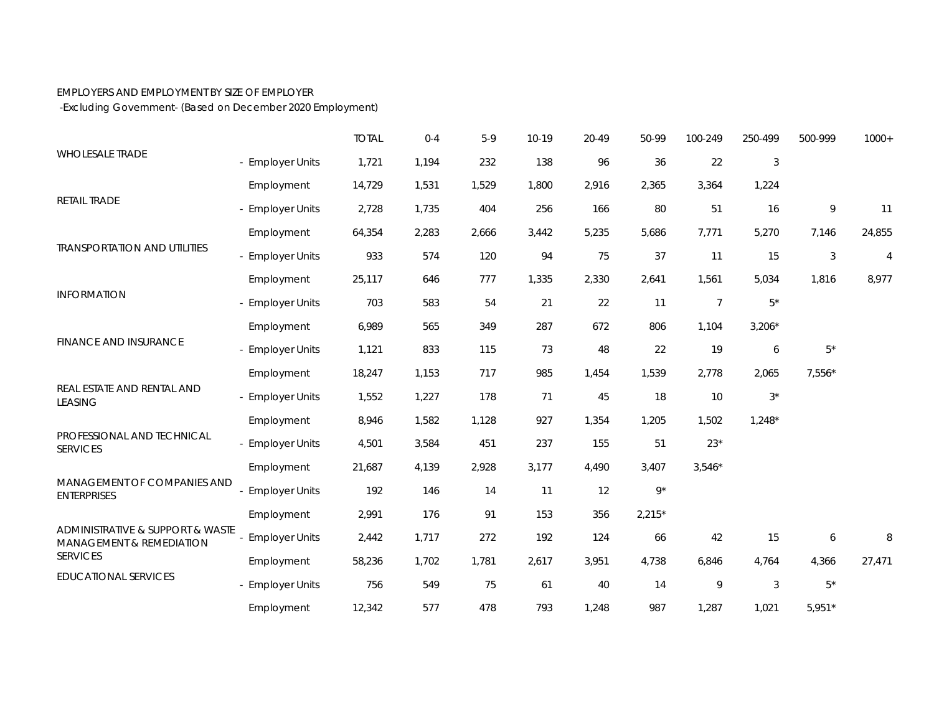## EMPLOYERS AND EMPLOYMENT BY SIZE OF EMPLOYER

-Excluding Government- (Based on December 2020 Employment)

|                                                                                 |                       | <b>TOTAL</b> | $0 - 4$ | $5-9$ | 10-19 | 20-49 | 50-99       | 100-249        | 250-499          | 500-999     | $1000+$        |
|---------------------------------------------------------------------------------|-----------------------|--------------|---------|-------|-------|-------|-------------|----------------|------------------|-------------|----------------|
| <b>WHOLESALE TRADE</b>                                                          | - Employer Units      | 1,721        | 1,194   | 232   | 138   | 96    | 36          | 22             | $\sqrt{3}$       |             |                |
|                                                                                 | Employment            | 14,729       | 1,531   | 1,529 | 1,800 | 2,916 | 2,365       | 3,364          | 1,224            |             |                |
| RETAIL TRADE                                                                    | - Employer Units      | 2,728        | 1,735   | 404   | 256   | 166   | 80          | 51             | 16               | 9           | 11             |
|                                                                                 | Employment            | 64,354       | 2,283   | 2,666 | 3,442 | 5,235 | 5,686       | 7,771          | 5,270            | 7,146       | 24,855         |
| <b>TRANSPORTATION AND UTILITIES</b>                                             | - Employer Units      | 933          | 574     | 120   | 94    | 75    | 37          | 11             | 15               | 3           | $\overline{4}$ |
|                                                                                 | Employment            | 25,117       | 646     | 777   | 1,335 | 2,330 | 2,641       | 1,561          | 5,034            | 1,816       | 8,977          |
| <b>INFORMATION</b>                                                              | - Employer Units      | 703          | 583     | 54    | 21    | 22    | 11          | $\overline{7}$ | $5^*$            |             |                |
|                                                                                 | Employment            | 6,989        | 565     | 349   | 287   | 672   | 806         | 1,104          | $3,206*$         |             |                |
| FINANCE AND INSURANCE                                                           | - Employer Units      | 1,121        | 833     | 115   | 73    | 48    | 22          | 19             | $\boldsymbol{6}$ | $5^\star$   |                |
|                                                                                 | Employment            | 18,247       | 1,153   | 717   | 985   | 1,454 | 1,539       | 2,778          | 2,065            | $7,556*$    |                |
| REAL ESTATE AND RENTAL AND<br><b>LEASING</b>                                    | - Employer Units      | 1,552        | 1,227   | 178   | 71    | 45    | 18          | 10             | $3^*$            |             |                |
|                                                                                 | Employment            | 8,946        | 1,582   | 1,128 | 927   | 1,354 | 1,205       | 1,502          | $1,248*$         |             |                |
| PROFESSIONAL AND TECHNICAL<br><b>SERVICES</b>                                   | - Employer Units      | 4,501        | 3,584   | 451   | 237   | 155   | 51          | $23*$          |                  |             |                |
|                                                                                 | Employment            | 21,687       | 4,139   | 2,928 | 3,177 | 4,490 | 3,407       | $3,546*$       |                  |             |                |
| MANAGEMENT OF COMPANIES AND<br><b>ENTERPRISES</b>                               | <b>Employer Units</b> | 192          | 146     | 14    | 11    | 12    | $9^{\star}$ |                |                  |             |                |
|                                                                                 | Employment            | 2,991        | 176     | 91    | 153   | 356   | $2,215*$    |                |                  |             |                |
| ADMINISTRATIVE & SUPPORT & WASTE<br>MANAGEMENT & REMEDIATION<br><b>SERVICES</b> | <b>Employer Units</b> | 2,442        | 1,717   | 272   | 192   | 124   | 66          | 42             | 15               | 6           | 8              |
|                                                                                 | Employment            | 58,236       | 1,702   | 1,781 | 2,617 | 3,951 | 4,738       | 6,846          | 4,764            | 4,366       | 27,471         |
| <b>EDUCATIONAL SERVICES</b>                                                     | - Employer Units      | 756          | 549     | 75    | 61    | 40    | 14          | 9              | $\mathfrak{Z}$   | $5^{\star}$ |                |
|                                                                                 | Employment            | 12,342       | 577     | 478   | 793   | 1,248 | 987         | 1,287          | 1,021            | $5,951*$    |                |